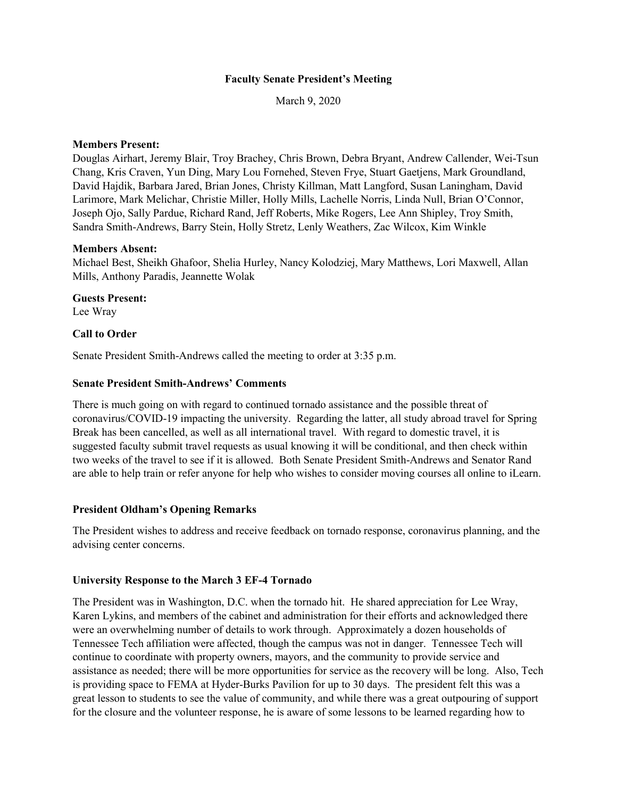### **Faculty Senate President's Meeting**

March 9, 2020

### **Members Present:**

Douglas Airhart, Jeremy Blair, Troy Brachey, Chris Brown, Debra Bryant, Andrew Callender, Wei-Tsun Chang, Kris Craven, Yun Ding, Mary Lou Fornehed, Steven Frye, Stuart Gaetjens, Mark Groundland, David Hajdik, Barbara Jared, Brian Jones, Christy Killman, Matt Langford, Susan Laningham, David Larimore, Mark Melichar, Christie Miller, Holly Mills, Lachelle Norris, Linda Null, Brian O'Connor, Joseph Ojo, Sally Pardue, Richard Rand, Jeff Roberts, Mike Rogers, Lee Ann Shipley, Troy Smith, Sandra Smith-Andrews, Barry Stein, Holly Stretz, Lenly Weathers, Zac Wilcox, Kim Winkle

#### **Members Absent:**

Michael Best, Sheikh Ghafoor, Shelia Hurley, Nancy Kolodziej, Mary Matthews, Lori Maxwell, Allan Mills, Anthony Paradis, Jeannette Wolak

# **Guests Present:**

Lee Wray

#### **Call to Order**

Senate President Smith-Andrews called the meeting to order at 3:35 p.m.

### **Senate President Smith-Andrews' Comments**

There is much going on with regard to continued tornado assistance and the possible threat of coronavirus/COVID-19 impacting the university. Regarding the latter, all study abroad travel for Spring Break has been cancelled, as well as all international travel. With regard to domestic travel, it is suggested faculty submit travel requests as usual knowing it will be conditional, and then check within two weeks of the travel to see if it is allowed. Both Senate President Smith-Andrews and Senator Rand are able to help train or refer anyone for help who wishes to consider moving courses all online to iLearn.

### **President Oldham's Opening Remarks**

The President wishes to address and receive feedback on tornado response, coronavirus planning, and the advising center concerns.

### **University Response to the March 3 EF-4 Tornado**

The President was in Washington, D.C. when the tornado hit. He shared appreciation for Lee Wray, Karen Lykins, and members of the cabinet and administration for their efforts and acknowledged there were an overwhelming number of details to work through. Approximately a dozen households of Tennessee Tech affiliation were affected, though the campus was not in danger. Tennessee Tech will continue to coordinate with property owners, mayors, and the community to provide service and assistance as needed; there will be more opportunities for service as the recovery will be long. Also, Tech is providing space to FEMA at Hyder-Burks Pavilion for up to 30 days. The president felt this was a great lesson to students to see the value of community, and while there was a great outpouring of support for the closure and the volunteer response, he is aware of some lessons to be learned regarding how to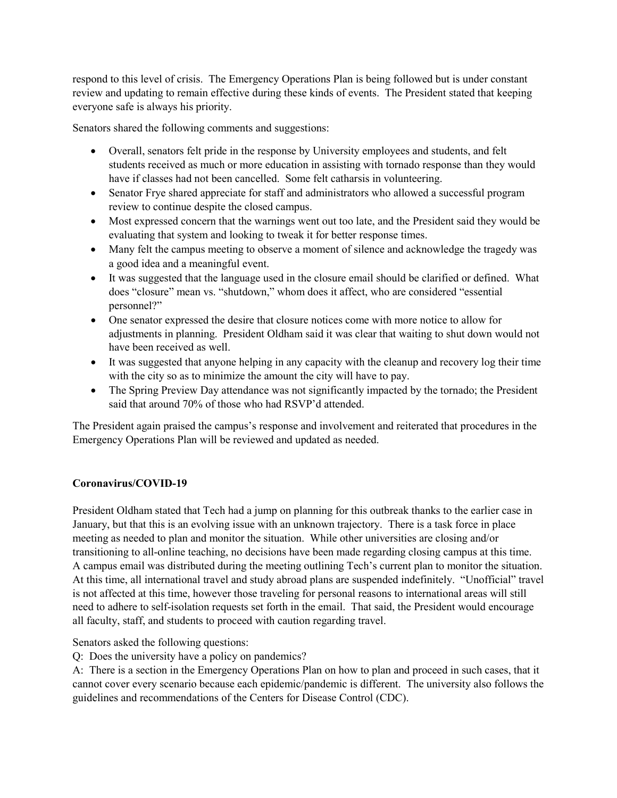respond to this level of crisis. The Emergency Operations Plan is being followed but is under constant review and updating to remain effective during these kinds of events. The President stated that keeping everyone safe is always his priority.

Senators shared the following comments and suggestions:

- Overall, senators felt pride in the response by University employees and students, and felt students received as much or more education in assisting with tornado response than they would have if classes had not been cancelled. Some felt catharsis in volunteering.
- Senator Frye shared appreciate for staff and administrators who allowed a successful program review to continue despite the closed campus.
- Most expressed concern that the warnings went out too late, and the President said they would be evaluating that system and looking to tweak it for better response times.
- Many felt the campus meeting to observe a moment of silence and acknowledge the tragedy was a good idea and a meaningful event.
- It was suggested that the language used in the closure email should be clarified or defined. What does "closure" mean vs. "shutdown," whom does it affect, who are considered "essential personnel?"
- One senator expressed the desire that closure notices come with more notice to allow for adjustments in planning. President Oldham said it was clear that waiting to shut down would not have been received as well.
- It was suggested that anyone helping in any capacity with the cleanup and recovery log their time with the city so as to minimize the amount the city will have to pay.
- The Spring Preview Day attendance was not significantly impacted by the tornado; the President said that around 70% of those who had RSVP'd attended.

The President again praised the campus's response and involvement and reiterated that procedures in the Emergency Operations Plan will be reviewed and updated as needed.

# **Coronavirus/COVID-19**

President Oldham stated that Tech had a jump on planning for this outbreak thanks to the earlier case in January, but that this is an evolving issue with an unknown trajectory. There is a task force in place meeting as needed to plan and monitor the situation. While other universities are closing and/or transitioning to all-online teaching, no decisions have been made regarding closing campus at this time. A campus email was distributed during the meeting outlining Tech's current plan to monitor the situation. At this time, all international travel and study abroad plans are suspended indefinitely. "Unofficial" travel is not affected at this time, however those traveling for personal reasons to international areas will still need to adhere to self-isolation requests set forth in the email. That said, the President would encourage all faculty, staff, and students to proceed with caution regarding travel.

Senators asked the following questions:

Q: Does the university have a policy on pandemics?

A: There is a section in the Emergency Operations Plan on how to plan and proceed in such cases, that it cannot cover every scenario because each epidemic/pandemic is different. The university also follows the guidelines and recommendations of the Centers for Disease Control (CDC).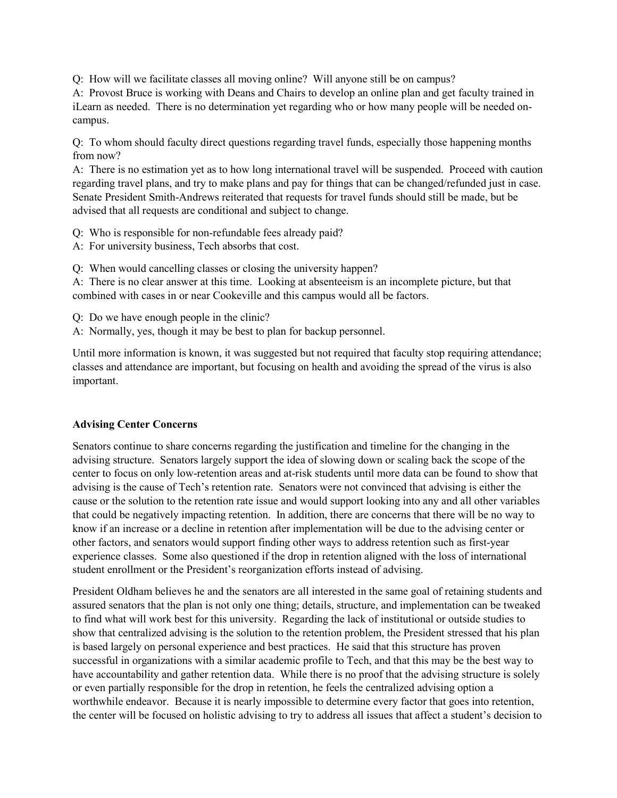Q: How will we facilitate classes all moving online? Will anyone still be on campus?

A: Provost Bruce is working with Deans and Chairs to develop an online plan and get faculty trained in iLearn as needed. There is no determination yet regarding who or how many people will be needed oncampus.

Q: To whom should faculty direct questions regarding travel funds, especially those happening months from now?

A: There is no estimation yet as to how long international travel will be suspended. Proceed with caution regarding travel plans, and try to make plans and pay for things that can be changed/refunded just in case. Senate President Smith-Andrews reiterated that requests for travel funds should still be made, but be advised that all requests are conditional and subject to change.

Q: Who is responsible for non-refundable fees already paid?

A: For university business, Tech absorbs that cost.

Q: When would cancelling classes or closing the university happen?

A: There is no clear answer at this time. Looking at absenteeism is an incomplete picture, but that combined with cases in or near Cookeville and this campus would all be factors.

- Q: Do we have enough people in the clinic?
- A: Normally, yes, though it may be best to plan for backup personnel.

Until more information is known, it was suggested but not required that faculty stop requiring attendance; classes and attendance are important, but focusing on health and avoiding the spread of the virus is also important.

# **Advising Center Concerns**

Senators continue to share concerns regarding the justification and timeline for the changing in the advising structure. Senators largely support the idea of slowing down or scaling back the scope of the center to focus on only low-retention areas and at-risk students until more data can be found to show that advising is the cause of Tech's retention rate. Senators were not convinced that advising is either the cause or the solution to the retention rate issue and would support looking into any and all other variables that could be negatively impacting retention. In addition, there are concerns that there will be no way to know if an increase or a decline in retention after implementation will be due to the advising center or other factors, and senators would support finding other ways to address retention such as first-year experience classes. Some also questioned if the drop in retention aligned with the loss of international student enrollment or the President's reorganization efforts instead of advising.

President Oldham believes he and the senators are all interested in the same goal of retaining students and assured senators that the plan is not only one thing; details, structure, and implementation can be tweaked to find what will work best for this university. Regarding the lack of institutional or outside studies to show that centralized advising is the solution to the retention problem, the President stressed that his plan is based largely on personal experience and best practices. He said that this structure has proven successful in organizations with a similar academic profile to Tech, and that this may be the best way to have accountability and gather retention data. While there is no proof that the advising structure is solely or even partially responsible for the drop in retention, he feels the centralized advising option a worthwhile endeavor. Because it is nearly impossible to determine every factor that goes into retention, the center will be focused on holistic advising to try to address all issues that affect a student's decision to